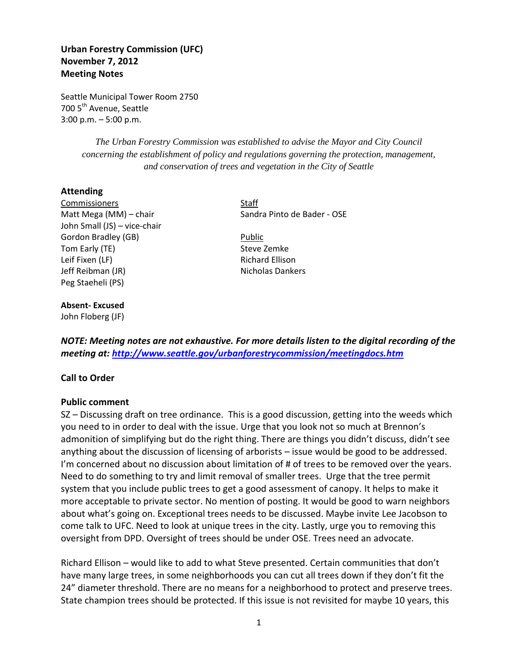# **Urban Forestry Commission (UFC) November 7, 2012 Meeting Notes**

Seattle Municipal Tower Room 2750 700 5<sup>th</sup> Avenue, Seattle 3:00 p.m. – 5:00 p.m.

> *The Urban Forestry Commission was established to advise the Mayor and City Council concerning the establishment of policy and regulations governing the protection, management, and conservation of trees and vegetation in the City of Seattle*

#### **Attending**

Commissioners Staff John Small (JS) – vice-chair Gordon Bradley (GB) Bublic Tom Early (TE) Steve Zemke Leif Fixen (LF) **Richard Ellison** Jeff Reibman (JR) Nicholas Dankers Peg Staeheli (PS)

# Matt Mega (MM) – chair Sandra Pinto de Bader - OSE

#### **Absent- Excused**

John Floberg (JF)

*NOTE: Meeting notes are not exhaustive. For more details listen to the digital recording of the meeting at:<http://www.seattle.gov/urbanforestrycommission/meetingdocs.htm>*

## **Call to Order**

#### **Public comment**

SZ – Discussing draft on tree ordinance. This is a good discussion, getting into the weeds which you need to in order to deal with the issue. Urge that you look not so much at Brennon's admonition of simplifying but do the right thing. There are things you didn't discuss, didn't see anything about the discussion of licensing of arborists – issue would be good to be addressed. I'm concerned about no discussion about limitation of # of trees to be removed over the years. Need to do something to try and limit removal of smaller trees. Urge that the tree permit system that you include public trees to get a good assessment of canopy. It helps to make it more acceptable to private sector. No mention of posting. It would be good to warn neighbors about what's going on. Exceptional trees needs to be discussed. Maybe invite Lee Jacobson to come talk to UFC. Need to look at unique trees in the city. Lastly, urge you to removing this oversight from DPD. Oversight of trees should be under OSE. Trees need an advocate.

Richard Ellison – would like to add to what Steve presented. Certain communities that don't have many large trees, in some neighborhoods you can cut all trees down if they don't fit the 24" diameter threshold. There are no means for a neighborhood to protect and preserve trees. State champion trees should be protected. If this issue is not revisited for maybe 10 years, this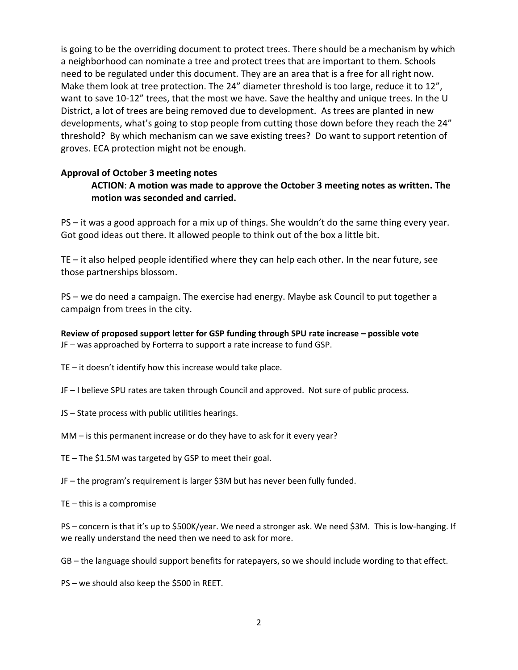is going to be the overriding document to protect trees. There should be a mechanism by which a neighborhood can nominate a tree and protect trees that are important to them. Schools need to be regulated under this document. They are an area that is a free for all right now. Make them look at tree protection. The 24" diameter threshold is too large, reduce it to 12", want to save 10-12" trees, that the most we have. Save the healthy and unique trees. In the U District, a lot of trees are being removed due to development. As trees are planted in new developments, what's going to stop people from cutting those down before they reach the 24" threshold? By which mechanism can we save existing trees? Do want to support retention of groves. ECA protection might not be enough.

## **Approval of October 3 meeting notes**

# **ACTION**: **A motion was made to approve the October 3 meeting notes as written. The motion was seconded and carried.**

PS – it was a good approach for a mix up of things. She wouldn't do the same thing every year. Got good ideas out there. It allowed people to think out of the box a little bit.

TE – it also helped people identified where they can help each other. In the near future, see those partnerships blossom.

PS – we do need a campaign. The exercise had energy. Maybe ask Council to put together a campaign from trees in the city.

**Review of proposed support letter for GSP funding through SPU rate increase – possible vote** JF – was approached by Forterra to support a rate increase to fund GSP.

TE – it doesn't identify how this increase would take place.

JF – I believe SPU rates are taken through Council and approved. Not sure of public process.

JS – State process with public utilities hearings.

MM – is this permanent increase or do they have to ask for it every year?

TE – The \$1.5M was targeted by GSP to meet their goal.

JF – the program's requirement is larger \$3M but has never been fully funded.

TE – this is a compromise

PS – concern is that it's up to \$500K/year. We need a stronger ask. We need \$3M. This is low-hanging. If we really understand the need then we need to ask for more.

GB – the language should support benefits for ratepayers, so we should include wording to that effect.

PS – we should also keep the \$500 in REET.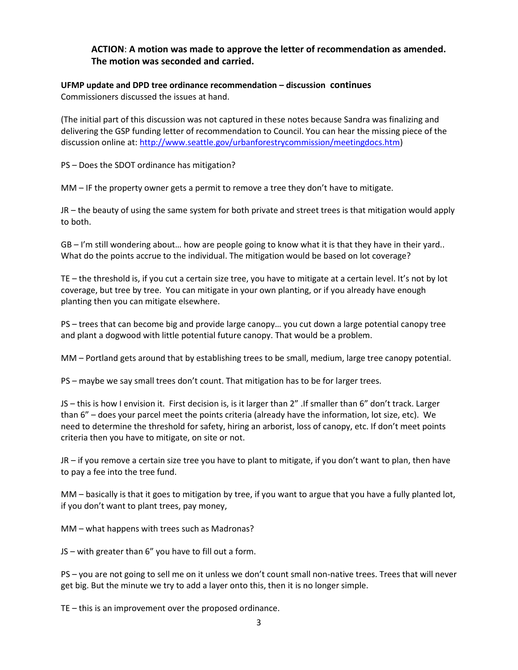# **ACTION**: **A motion was made to approve the letter of recommendation as amended. The motion was seconded and carried.**

## **UFMP update and DPD tree ordinance recommendation – discussion continues** Commissioners discussed the issues at hand.

(The initial part of this discussion was not captured in these notes because Sandra was finalizing and delivering the GSP funding letter of recommendation to Council. You can hear the missing piece of the discussion online at: [http://www.seattle.gov/urbanforestrycommission/meetingdocs.htm\)](http://www.seattle.gov/urbanforestrycommission/meetingdocs.htm)

PS – Does the SDOT ordinance has mitigation?

MM – IF the property owner gets a permit to remove a tree they don't have to mitigate.

JR – the beauty of using the same system for both private and street trees is that mitigation would apply to both.

GB – I'm still wondering about… how are people going to know what it is that they have in their yard.. What do the points accrue to the individual. The mitigation would be based on lot coverage?

TE – the threshold is, if you cut a certain size tree, you have to mitigate at a certain level. It's not by lot coverage, but tree by tree. You can mitigate in your own planting, or if you already have enough planting then you can mitigate elsewhere.

PS – trees that can become big and provide large canopy… you cut down a large potential canopy tree and plant a dogwood with little potential future canopy. That would be a problem.

MM – Portland gets around that by establishing trees to be small, medium, large tree canopy potential.

PS – maybe we say small trees don't count. That mitigation has to be for larger trees.

JS – this is how I envision it. First decision is, is it larger than 2" .If smaller than 6" don't track. Larger than 6" – does your parcel meet the points criteria (already have the information, lot size, etc). We need to determine the threshold for safety, hiring an arborist, loss of canopy, etc. If don't meet points criteria then you have to mitigate, on site or not.

JR – if you remove a certain size tree you have to plant to mitigate, if you don't want to plan, then have to pay a fee into the tree fund.

MM – basically is that it goes to mitigation by tree, if you want to argue that you have a fully planted lot, if you don't want to plant trees, pay money,

MM – what happens with trees such as Madronas?

JS – with greater than 6" you have to fill out a form.

PS – you are not going to sell me on it unless we don't count small non-native trees. Trees that will never get big. But the minute we try to add a layer onto this, then it is no longer simple.

TE – this is an improvement over the proposed ordinance.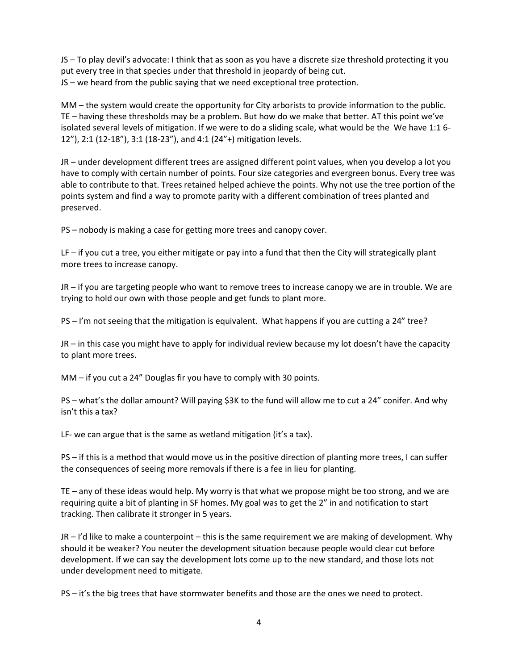JS – To play devil's advocate: I think that as soon as you have a discrete size threshold protecting it you put every tree in that species under that threshold in jeopardy of being cut. JS – we heard from the public saying that we need exceptional tree protection.

MM – the system would create the opportunity for City arborists to provide information to the public. TE – having these thresholds may be a problem. But how do we make that better. AT this point we've isolated several levels of mitigation. If we were to do a sliding scale, what would be the We have 1:1 6- 12"), 2:1 (12-18"), 3:1 (18-23"), and 4:1 (24"+) mitigation levels.

JR – under development different trees are assigned different point values, when you develop a lot you have to comply with certain number of points. Four size categories and evergreen bonus. Every tree was able to contribute to that. Trees retained helped achieve the points. Why not use the tree portion of the points system and find a way to promote parity with a different combination of trees planted and preserved.

PS – nobody is making a case for getting more trees and canopy cover.

LF – if you cut a tree, you either mitigate or pay into a fund that then the City will strategically plant more trees to increase canopy.

JR – if you are targeting people who want to remove trees to increase canopy we are in trouble. We are trying to hold our own with those people and get funds to plant more.

PS – I'm not seeing that the mitigation is equivalent. What happens if you are cutting a 24" tree?

JR – in this case you might have to apply for individual review because my lot doesn't have the capacity to plant more trees.

MM – if you cut a 24" Douglas fir you have to comply with 30 points.

PS – what's the dollar amount? Will paying \$3K to the fund will allow me to cut a 24" conifer. And why isn't this a tax?

LF- we can argue that is the same as wetland mitigation (it's a tax).

PS – if this is a method that would move us in the positive direction of planting more trees, I can suffer the consequences of seeing more removals if there is a fee in lieu for planting.

TE – any of these ideas would help. My worry is that what we propose might be too strong, and we are requiring quite a bit of planting in SF homes. My goal was to get the 2" in and notification to start tracking. Then calibrate it stronger in 5 years.

JR – I'd like to make a counterpoint – this is the same requirement we are making of development. Why should it be weaker? You neuter the development situation because people would clear cut before development. If we can say the development lots come up to the new standard, and those lots not under development need to mitigate.

PS – it's the big trees that have stormwater benefits and those are the ones we need to protect.